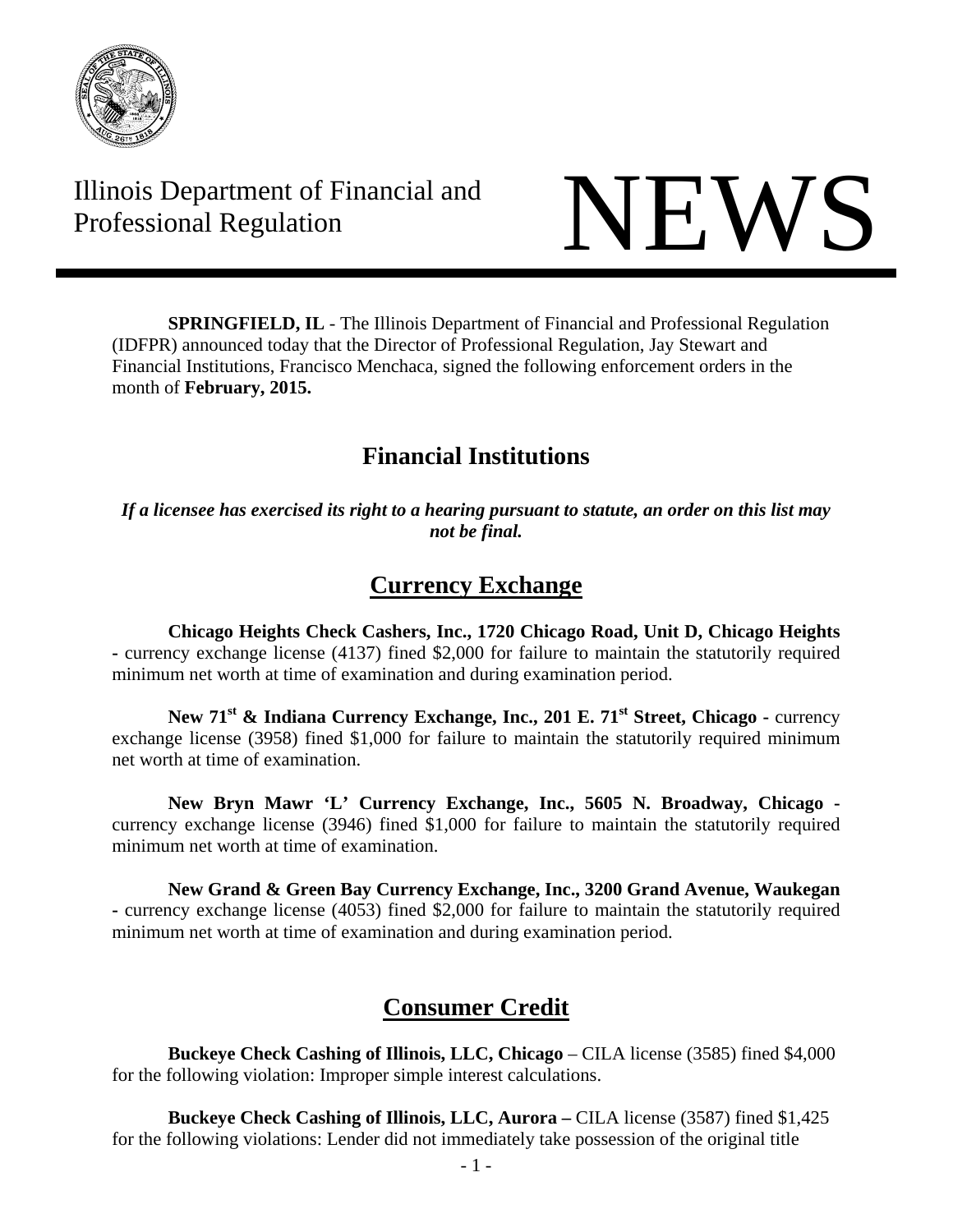

# Illinois Department of Financial and Illinois Department of Financial and<br>Professional Regulation NEWS



**SPRINGFIELD, IL** - The Illinois Department of Financial and Professional Regulation (IDFPR) announced today that the Director of Professional Regulation, Jay Stewart and Financial Institutions, Francisco Menchaca, signed the following enforcement orders in the month of **February, 2015.** 

# **Financial Institutions**

*If a licensee has exercised its right to a hearing pursuant to statute, an order on this list may not be final.* 

## **Currency Exchange**

**Chicago Heights Check Cashers, Inc., 1720 Chicago Road, Unit D, Chicago Heights -** currency exchange license (4137) fined \$2,000 for failure to maintain the statutorily required minimum net worth at time of examination and during examination period.

**New 71<sup>st</sup> & Indiana Currency Exchange, Inc., 201 E. 71<sup>st</sup> Street, Chicago - currency** exchange license (3958) fined \$1,000 for failure to maintain the statutorily required minimum net worth at time of examination.

**New Bryn Mawr 'L' Currency Exchange, Inc., 5605 N. Broadway, Chicago**  currency exchange license (3946) fined \$1,000 for failure to maintain the statutorily required minimum net worth at time of examination.

**New Grand & Green Bay Currency Exchange, Inc., 3200 Grand Avenue, Waukegan -** currency exchange license (4053) fined \$2,000 for failure to maintain the statutorily required minimum net worth at time of examination and during examination period.

# **Consumer Credit**

**Buckeye Check Cashing of Illinois, LLC, Chicago** – CILA license (3585) fined \$4,000 for the following violation: Improper simple interest calculations.

**Buckeye Check Cashing of Illinois, LLC, Aurora –** CILA license (3587) fined \$1,425 for the following violations: Lender did not immediately take possession of the original title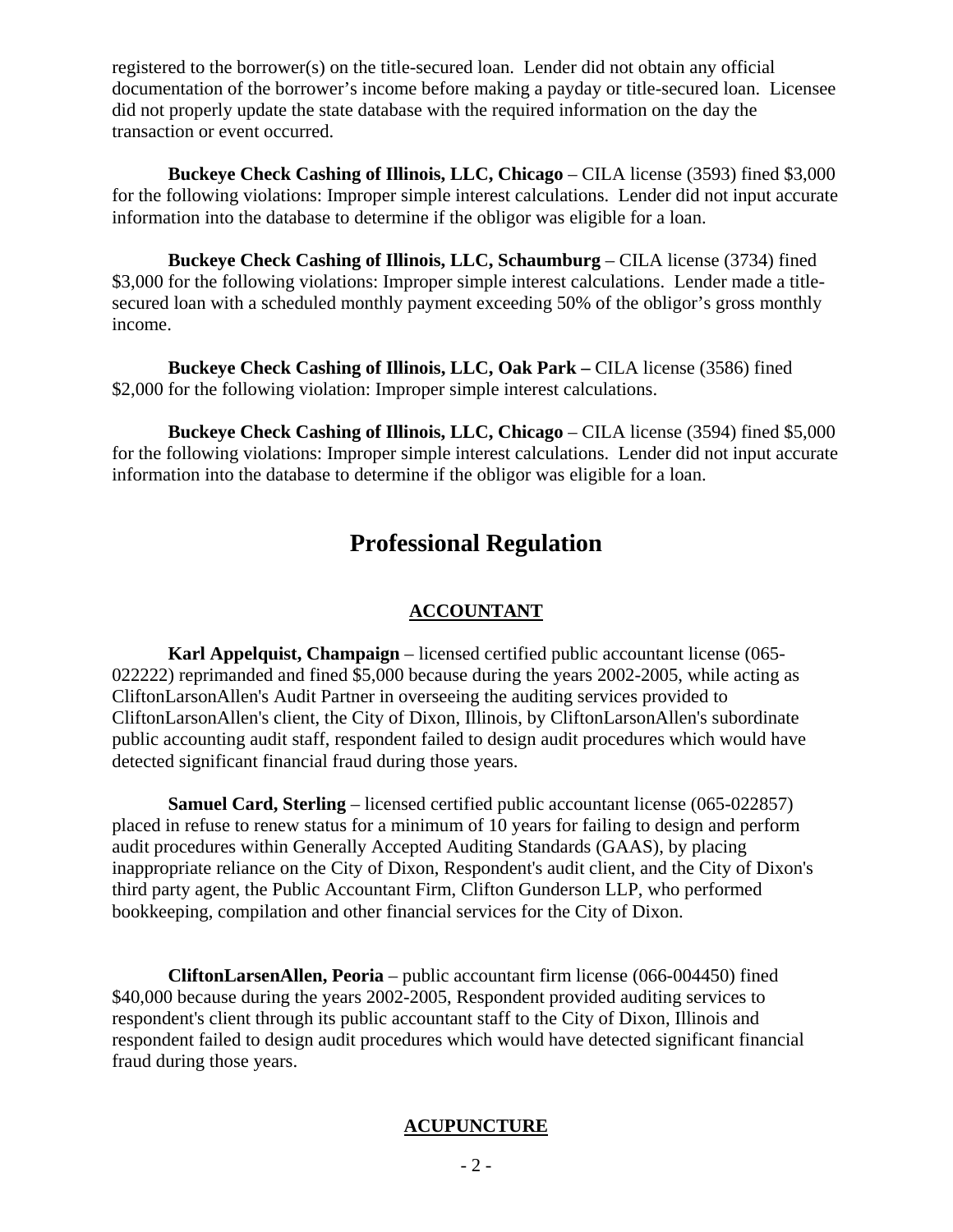registered to the borrower(s) on the title-secured loan. Lender did not obtain any official documentation of the borrower's income before making a payday or title-secured loan. Licensee did not properly update the state database with the required information on the day the transaction or event occurred.

**Buckeye Check Cashing of Illinois, LLC, Chicago** – CILA license (3593) fined \$3,000 for the following violations: Improper simple interest calculations. Lender did not input accurate information into the database to determine if the obligor was eligible for a loan.

**Buckeye Check Cashing of Illinois, LLC, Schaumburg** – CILA license (3734) fined \$3,000 for the following violations: Improper simple interest calculations. Lender made a titlesecured loan with a scheduled monthly payment exceeding 50% of the obligor's gross monthly income.

**Buckeye Check Cashing of Illinois, LLC, Oak Park –** CILA license (3586) fined \$2,000 for the following violation: Improper simple interest calculations.

**Buckeye Check Cashing of Illinois, LLC, Chicago** – CILA license (3594) fined \$5,000 for the following violations: Improper simple interest calculations. Lender did not input accurate information into the database to determine if the obligor was eligible for a loan.

### **Professional Regulation**

#### **ACCOUNTANT**

**Karl Appelquist, Champaign** – licensed certified public accountant license (065- 022222) reprimanded and fined \$5,000 because during the years 2002-2005, while acting as CliftonLarsonAllen's Audit Partner in overseeing the auditing services provided to CliftonLarsonAllen's client, the City of Dixon, Illinois, by CliftonLarsonAllen's subordinate public accounting audit staff, respondent failed to design audit procedures which would have detected significant financial fraud during those years.

**Samuel Card, Sterling** – licensed certified public accountant license (065-022857) placed in refuse to renew status for a minimum of 10 years for failing to design and perform audit procedures within Generally Accepted Auditing Standards (GAAS), by placing inappropriate reliance on the City of Dixon, Respondent's audit client, and the City of Dixon's third party agent, the Public Accountant Firm, Clifton Gunderson LLP, who performed bookkeeping, compilation and other financial services for the City of Dixon.

**CliftonLarsenAllen, Peoria** – public accountant firm license (066-004450) fined \$40,000 because during the years 2002-2005, Respondent provided auditing services to respondent's client through its public accountant staff to the City of Dixon, Illinois and respondent failed to design audit procedures which would have detected significant financial fraud during those years.

#### **ACUPUNCTURE**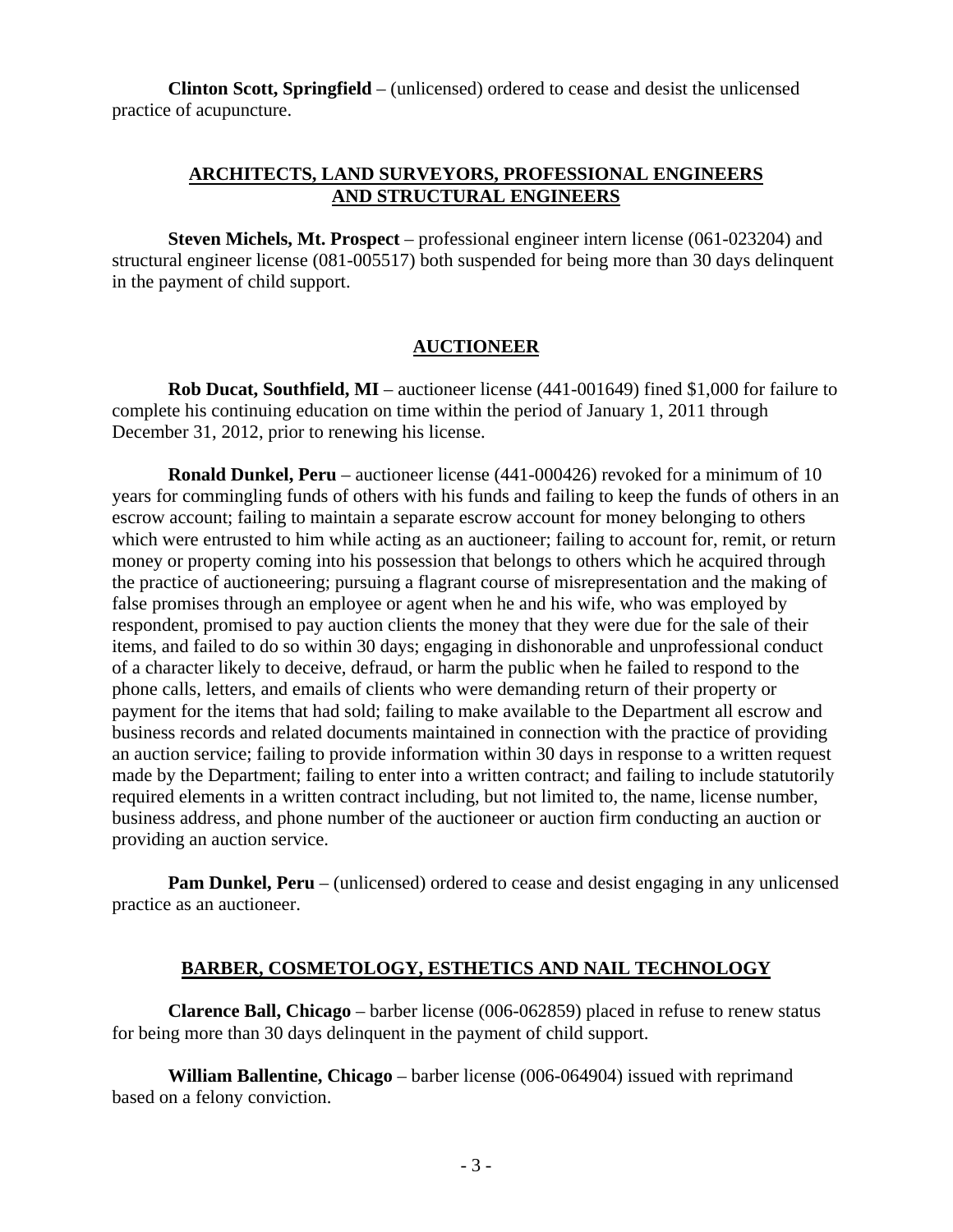**Clinton Scott, Springfield** – (unlicensed) ordered to cease and desist the unlicensed practice of acupuncture.

#### **ARCHITECTS, LAND SURVEYORS, PROFESSIONAL ENGINEERS AND STRUCTURAL ENGINEERS**

**Steven Michels, Mt. Prospect** – professional engineer intern license (061-023204) and structural engineer license (081-005517) both suspended for being more than 30 days delinquent in the payment of child support.

#### **AUCTIONEER**

**Rob Ducat, Southfield, MI** – auctioneer license (441-001649) fined \$1,000 for failure to complete his continuing education on time within the period of January 1, 2011 through December 31, 2012, prior to renewing his license.

**Ronald Dunkel, Peru** – auctioneer license (441-000426) revoked for a minimum of 10 years for commingling funds of others with his funds and failing to keep the funds of others in an escrow account; failing to maintain a separate escrow account for money belonging to others which were entrusted to him while acting as an auctioneer; failing to account for, remit, or return money or property coming into his possession that belongs to others which he acquired through the practice of auctioneering; pursuing a flagrant course of misrepresentation and the making of false promises through an employee or agent when he and his wife, who was employed by respondent, promised to pay auction clients the money that they were due for the sale of their items, and failed to do so within 30 days; engaging in dishonorable and unprofessional conduct of a character likely to deceive, defraud, or harm the public when he failed to respond to the phone calls, letters, and emails of clients who were demanding return of their property or payment for the items that had sold; failing to make available to the Department all escrow and business records and related documents maintained in connection with the practice of providing an auction service; failing to provide information within 30 days in response to a written request made by the Department; failing to enter into a written contract; and failing to include statutorily required elements in a written contract including, but not limited to, the name, license number, business address, and phone number of the auctioneer or auction firm conducting an auction or providing an auction service.

**Pam Dunkel, Peru** – (unlicensed) ordered to cease and desist engaging in any unlicensed practice as an auctioneer.

#### **BARBER, COSMETOLOGY, ESTHETICS AND NAIL TECHNOLOGY**

**Clarence Ball, Chicago** – barber license (006-062859) placed in refuse to renew status for being more than 30 days delinquent in the payment of child support.

**William Ballentine, Chicago** – barber license (006-064904) issued with reprimand based on a felony conviction.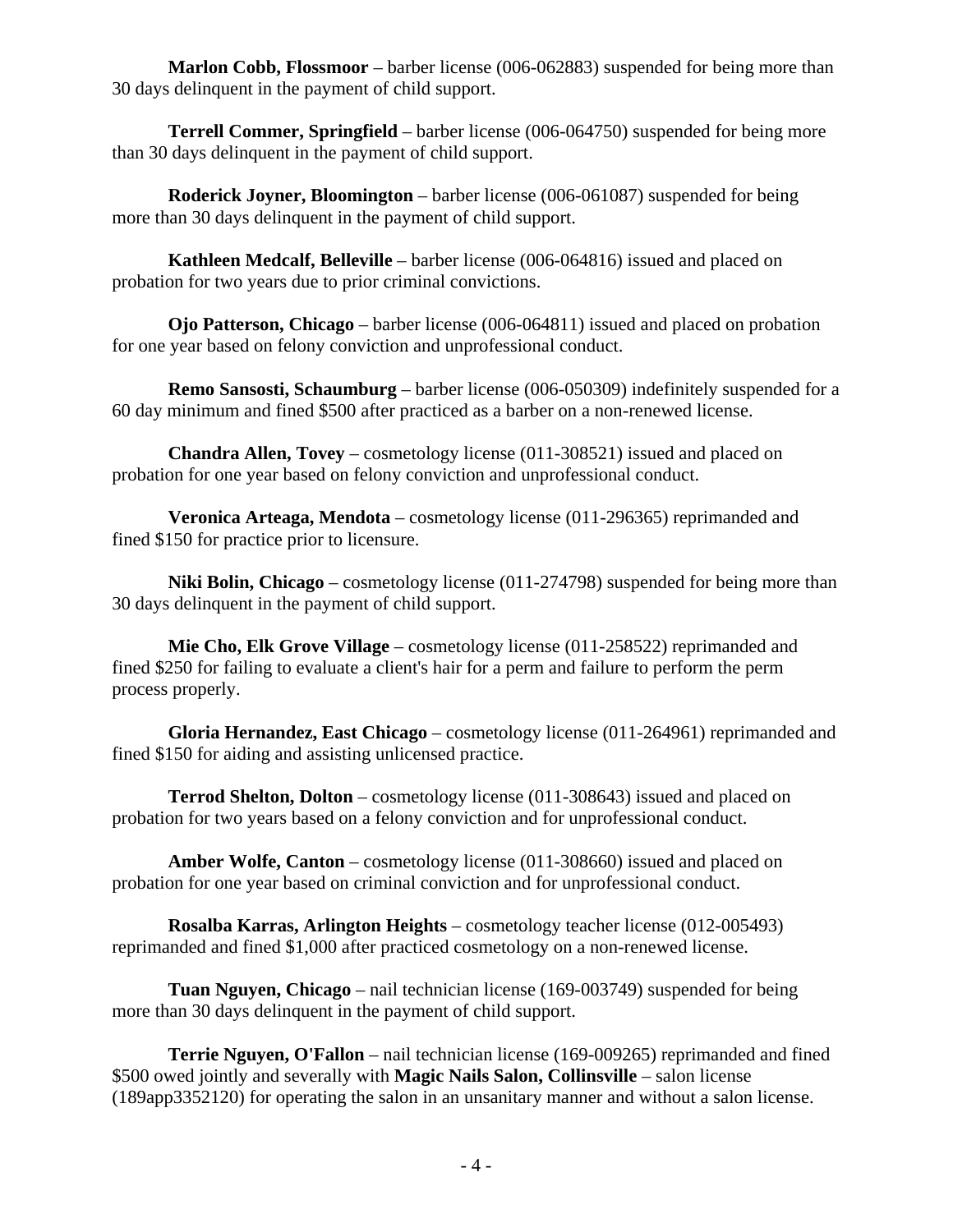**Marlon Cobb, Flossmoor** – barber license (006-062883) suspended for being more than 30 days delinquent in the payment of child support.

**Terrell Commer, Springfield** – barber license (006-064750) suspended for being more than 30 days delinquent in the payment of child support.

**Roderick Joyner, Bloomington** – barber license (006-061087) suspended for being more than 30 days delinquent in the payment of child support.

**Kathleen Medcalf, Belleville** – barber license (006-064816) issued and placed on probation for two years due to prior criminal convictions.

**Ojo Patterson, Chicago** – barber license (006-064811) issued and placed on probation for one year based on felony conviction and unprofessional conduct.

**Remo Sansosti, Schaumburg** – barber license (006-050309) indefinitely suspended for a 60 day minimum and fined \$500 after practiced as a barber on a non-renewed license.

**Chandra Allen, Tovey** – cosmetology license (011-308521) issued and placed on probation for one year based on felony conviction and unprofessional conduct.

**Veronica Arteaga, Mendota** – cosmetology license (011-296365) reprimanded and fined \$150 for practice prior to licensure.

**Niki Bolin, Chicago** – cosmetology license (011-274798) suspended for being more than 30 days delinquent in the payment of child support.

**Mie Cho, Elk Grove Village** – cosmetology license (011-258522) reprimanded and fined \$250 for failing to evaluate a client's hair for a perm and failure to perform the perm process properly.

**Gloria Hernandez, East Chicago** – cosmetology license (011-264961) reprimanded and fined \$150 for aiding and assisting unlicensed practice.

**Terrod Shelton, Dolton** – cosmetology license (011-308643) issued and placed on probation for two years based on a felony conviction and for unprofessional conduct.

**Amber Wolfe, Canton** – cosmetology license (011-308660) issued and placed on probation for one year based on criminal conviction and for unprofessional conduct.

**Rosalba Karras, Arlington Heights** – cosmetology teacher license (012-005493) reprimanded and fined \$1,000 after practiced cosmetology on a non-renewed license.

**Tuan Nguyen, Chicago** – nail technician license (169-003749) suspended for being more than 30 days delinquent in the payment of child support.

**Terrie Nguyen, O'Fallon** – nail technician license (169-009265) reprimanded and fined \$500 owed jointly and severally with **Magic Nails Salon, Collinsville** – salon license (189app3352120) for operating the salon in an unsanitary manner and without a salon license.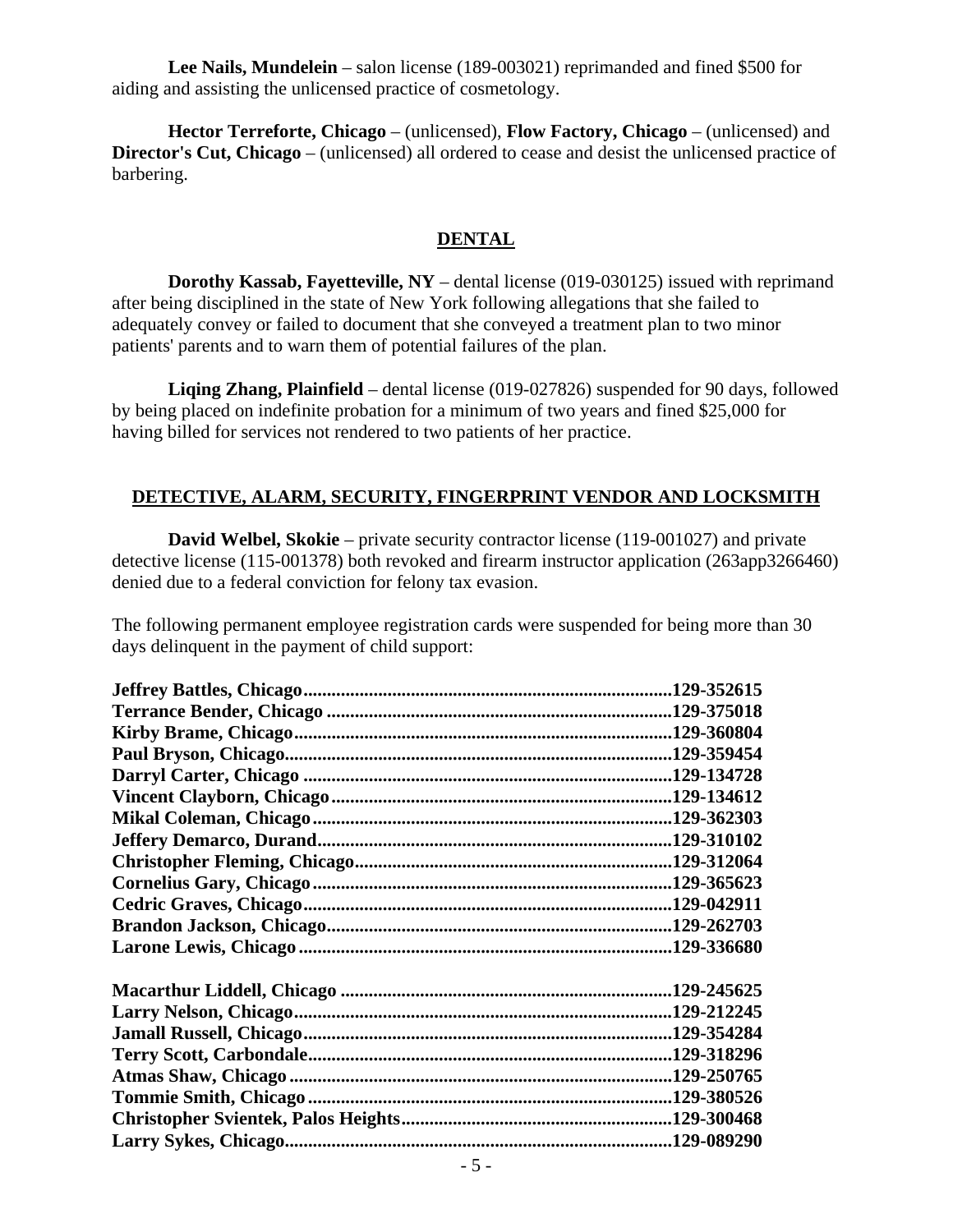**Lee Nails, Mundelein** – salon license (189-003021) reprimanded and fined \$500 for aiding and assisting the unlicensed practice of cosmetology.

**Hector Terreforte, Chicago** – (unlicensed), **Flow Factory, Chicago** – (unlicensed) and **Director's Cut, Chicago** – (unlicensed) all ordered to cease and desist the unlicensed practice of barbering.

#### **DENTAL**

**Dorothy Kassab, Fayetteville, NY** – dental license (019-030125) issued with reprimand after being disciplined in the state of New York following allegations that she failed to adequately convey or failed to document that she conveyed a treatment plan to two minor patients' parents and to warn them of potential failures of the plan.

**Liqing Zhang, Plainfield** – dental license (019-027826) suspended for 90 days, followed by being placed on indefinite probation for a minimum of two years and fined \$25,000 for having billed for services not rendered to two patients of her practice.

#### **DETECTIVE, ALARM, SECURITY, FINGERPRINT VENDOR AND LOCKSMITH**

**David Welbel, Skokie** – private security contractor license (119-001027) and private detective license (115-001378) both revoked and firearm instructor application (263app3266460) denied due to a federal conviction for felony tax evasion.

The following permanent employee registration cards were suspended for being more than 30 days delinquent in the payment of child support:

| .129-352615 |
|-------------|
|             |
|             |
|             |
|             |
|             |
| .129-362303 |
|             |
|             |
|             |
|             |
|             |
|             |
|             |
| .129-212245 |
|             |
|             |
|             |
|             |
|             |
|             |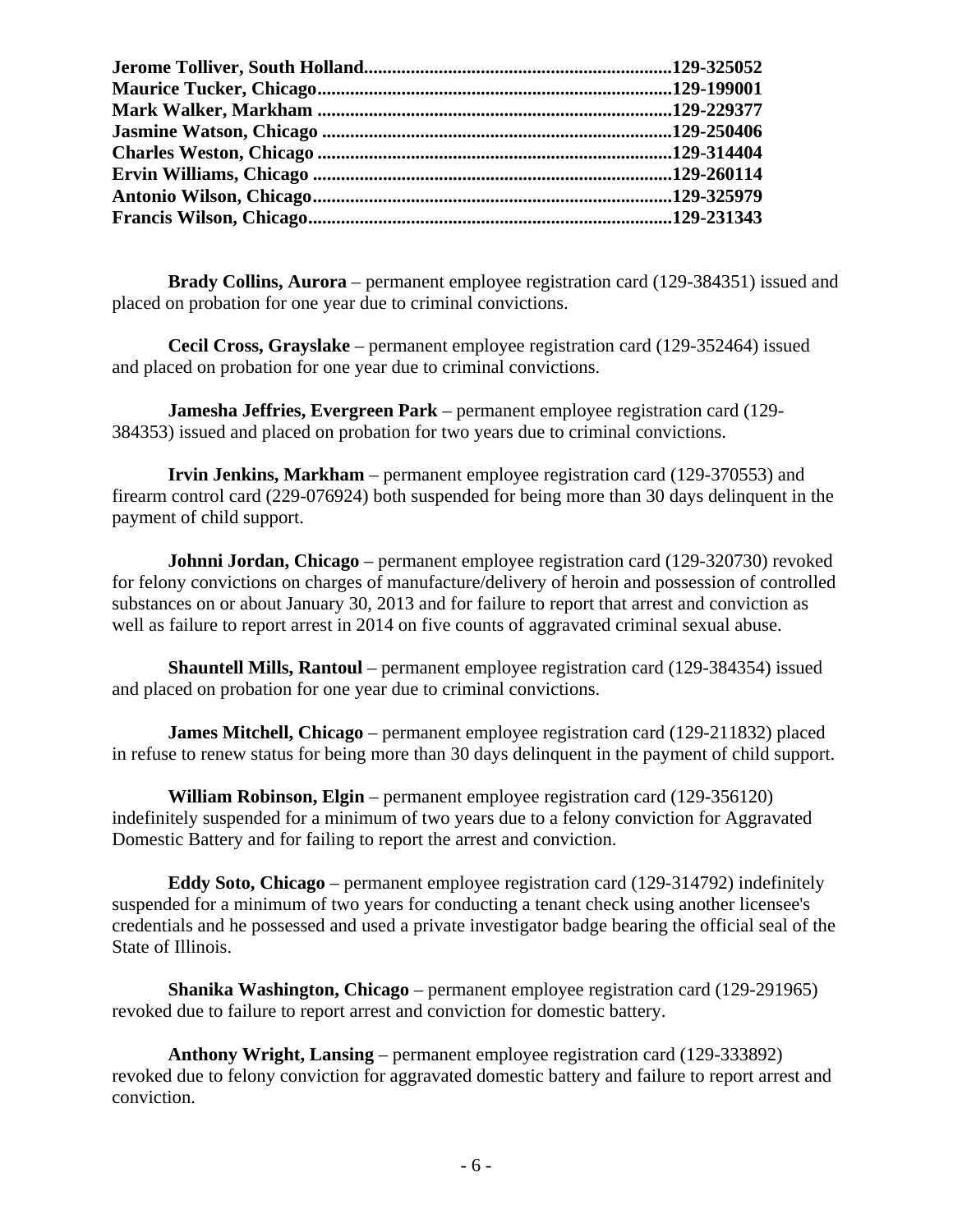**Brady Collins, Aurora** – permanent employee registration card (129-384351) issued and placed on probation for one year due to criminal convictions.

**Cecil Cross, Grayslake** – permanent employee registration card (129-352464) issued and placed on probation for one year due to criminal convictions.

**Jamesha Jeffries, Evergreen Park** – permanent employee registration card (129- 384353) issued and placed on probation for two years due to criminal convictions.

**Irvin Jenkins, Markham** – permanent employee registration card (129-370553) and firearm control card (229-076924) both suspended for being more than 30 days delinquent in the payment of child support.

**Johnni Jordan, Chicago** – permanent employee registration card (129-320730) revoked for felony convictions on charges of manufacture/delivery of heroin and possession of controlled substances on or about January 30, 2013 and for failure to report that arrest and conviction as well as failure to report arrest in 2014 on five counts of aggravated criminal sexual abuse.

**Shauntell Mills, Rantoul** – permanent employee registration card (129-384354) issued and placed on probation for one year due to criminal convictions.

**James Mitchell, Chicago** – permanent employee registration card (129-211832) placed in refuse to renew status for being more than 30 days delinquent in the payment of child support.

**William Robinson, Elgin** – permanent employee registration card (129-356120) indefinitely suspended for a minimum of two years due to a felony conviction for Aggravated Domestic Battery and for failing to report the arrest and conviction.

**Eddy Soto, Chicago** – permanent employee registration card (129-314792) indefinitely suspended for a minimum of two years for conducting a tenant check using another licensee's credentials and he possessed and used a private investigator badge bearing the official seal of the State of Illinois.

**Shanika Washington, Chicago** – permanent employee registration card (129-291965) revoked due to failure to report arrest and conviction for domestic battery.

**Anthony Wright, Lansing** – permanent employee registration card (129-333892) revoked due to felony conviction for aggravated domestic battery and failure to report arrest and conviction.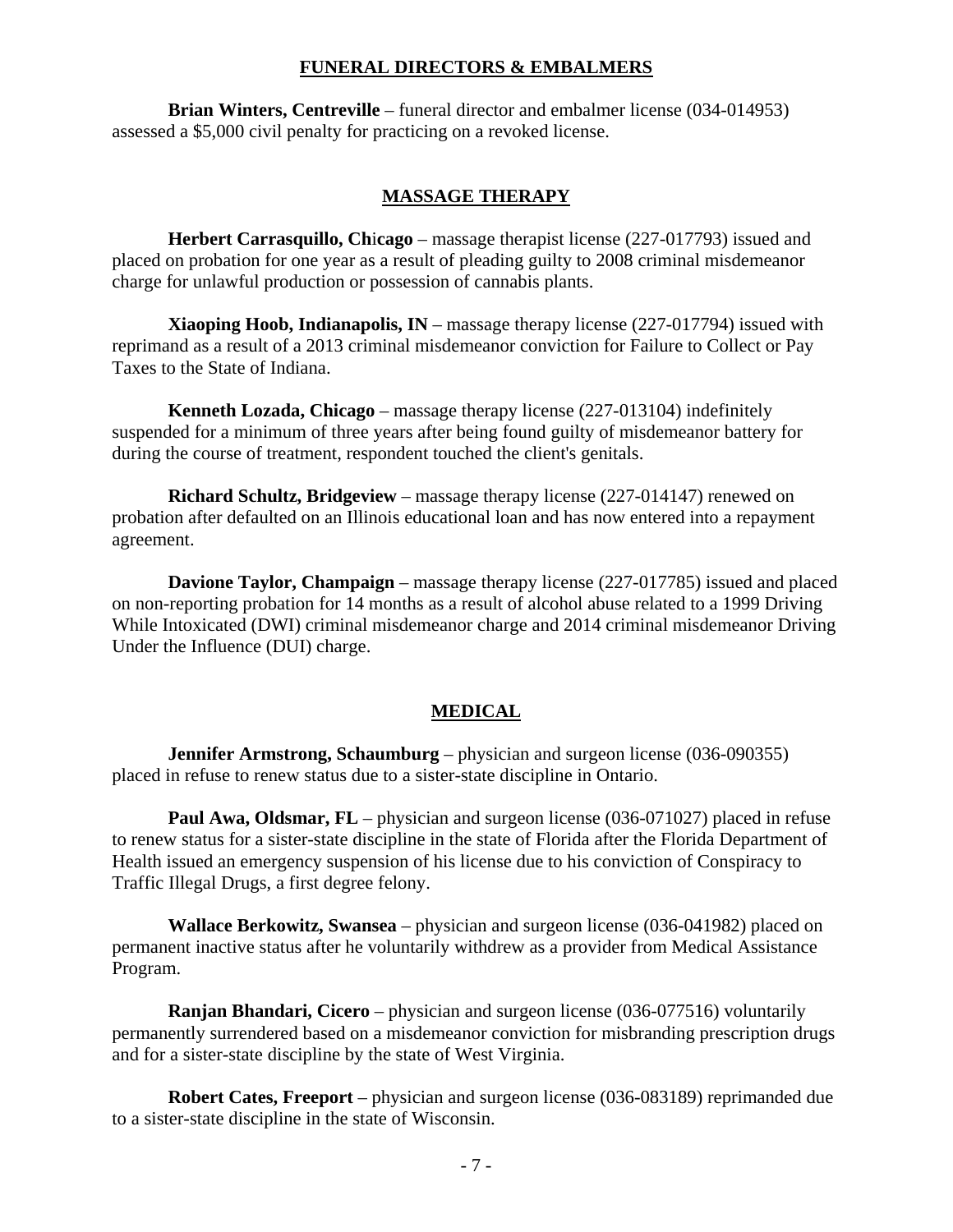#### **FUNERAL DIRECTORS & EMBALMERS**

**Brian Winters, Centreville** – funeral director and embalmer license (034-014953) assessed a \$5,000 civil penalty for practicing on a revoked license.

#### **MASSAGE THERAPY**

**Herbert Carrasquillo, Ch**i**cago** – massage therapist license (227-017793) issued and placed on probation for one year as a result of pleading guilty to 2008 criminal misdemeanor charge for unlawful production or possession of cannabis plants.

**Xiaoping Hoob, Indianapolis, IN** – massage therapy license (227-017794) issued with reprimand as a result of a 2013 criminal misdemeanor conviction for Failure to Collect or Pay Taxes to the State of Indiana.

**Kenneth Lozada, Chicago** – massage therapy license (227-013104) indefinitely suspended for a minimum of three years after being found guilty of misdemeanor battery for during the course of treatment, respondent touched the client's genitals.

**Richard Schultz, Bridgeview** – massage therapy license (227-014147) renewed on probation after defaulted on an Illinois educational loan and has now entered into a repayment agreement.

**Davione Taylor, Champaign** – massage therapy license (227-017785) issued and placed on non-reporting probation for 14 months as a result of alcohol abuse related to a 1999 Driving While Intoxicated (DWI) criminal misdemeanor charge and 2014 criminal misdemeanor Driving Under the Influence (DUI) charge.

#### **MEDICAL**

**Jennifer Armstrong, Schaumburg** – physician and surgeon license (036-090355) placed in refuse to renew status due to a sister-state discipline in Ontario.

**Paul Awa, Oldsmar, FL** – physician and surgeon license (036-071027) placed in refuse to renew status for a sister-state discipline in the state of Florida after the Florida Department of Health issued an emergency suspension of his license due to his conviction of Conspiracy to Traffic Illegal Drugs, a first degree felony.

**Wallace Berkowitz, Swansea** – physician and surgeon license (036-041982) placed on permanent inactive status after he voluntarily withdrew as a provider from Medical Assistance Program.

**Ranjan Bhandari, Cicero** – physician and surgeon license (036-077516) voluntarily permanently surrendered based on a misdemeanor conviction for misbranding prescription drugs and for a sister-state discipline by the state of West Virginia.

**Robert Cates, Freeport** – physician and surgeon license (036-083189) reprimanded due to a sister-state discipline in the state of Wisconsin.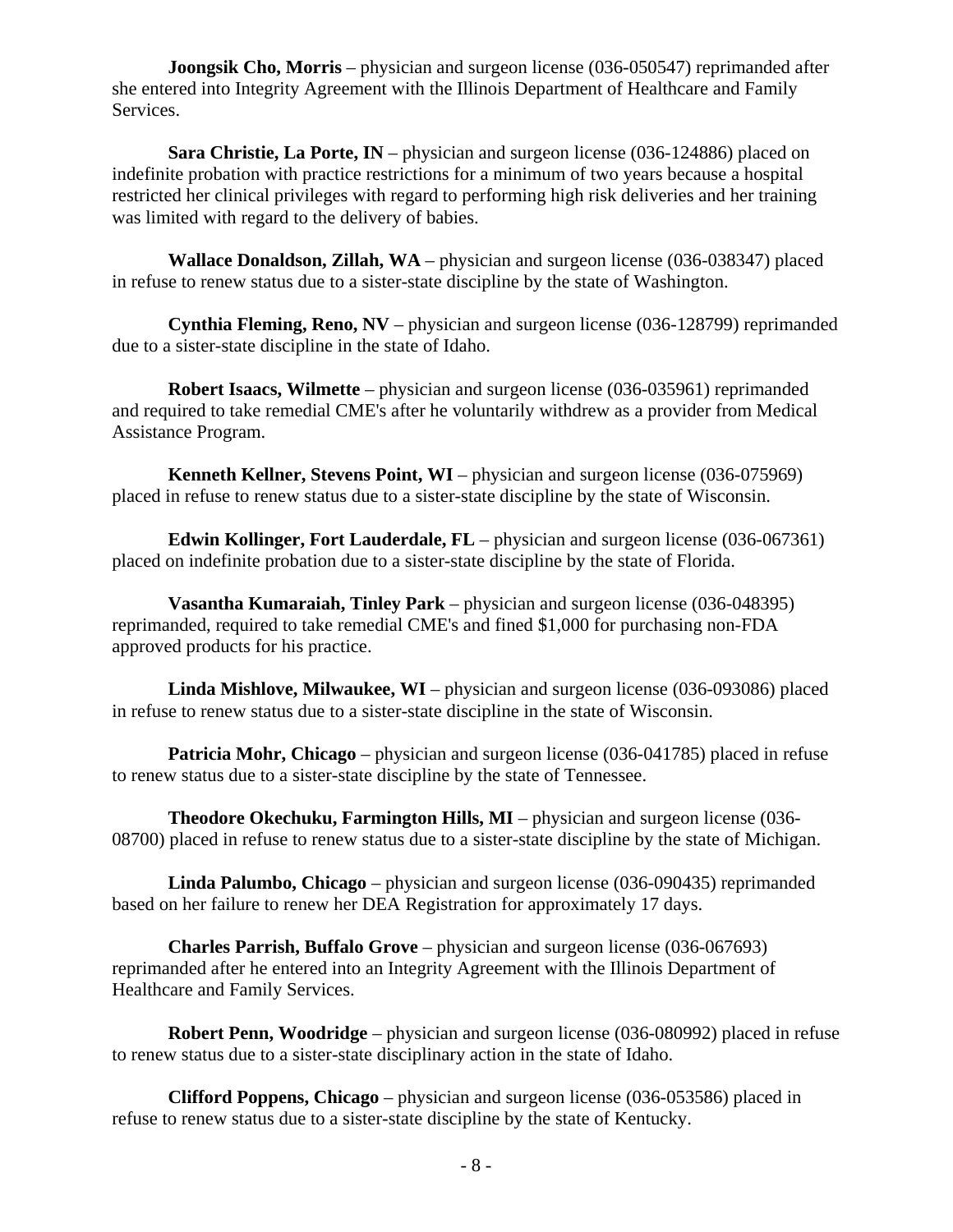**Joongsik Cho, Morris** – physician and surgeon license (036-050547) reprimanded after she entered into Integrity Agreement with the Illinois Department of Healthcare and Family Services.

**Sara Christie, La Porte, IN** – physician and surgeon license (036-124886) placed on indefinite probation with practice restrictions for a minimum of two years because a hospital restricted her clinical privileges with regard to performing high risk deliveries and her training was limited with regard to the delivery of babies.

**Wallace Donaldson, Zillah, WA** – physician and surgeon license (036-038347) placed in refuse to renew status due to a sister-state discipline by the state of Washington.

**Cynthia Fleming, Reno, NV** – physician and surgeon license (036-128799) reprimanded due to a sister-state discipline in the state of Idaho.

**Robert Isaacs, Wilmette** – physician and surgeon license (036-035961) reprimanded and required to take remedial CME's after he voluntarily withdrew as a provider from Medical Assistance Program.

**Kenneth Kellner, Stevens Point, WI** – physician and surgeon license (036-075969) placed in refuse to renew status due to a sister-state discipline by the state of Wisconsin.

**Edwin Kollinger, Fort Lauderdale, FL** – physician and surgeon license (036-067361) placed on indefinite probation due to a sister-state discipline by the state of Florida.

**Vasantha Kumaraiah, Tinley Park** – physician and surgeon license (036-048395) reprimanded, required to take remedial CME's and fined \$1,000 for purchasing non-FDA approved products for his practice.

**Linda Mishlove, Milwaukee, WI** – physician and surgeon license (036-093086) placed in refuse to renew status due to a sister-state discipline in the state of Wisconsin.

**Patricia Mohr, Chicago** – physician and surgeon license (036-041785) placed in refuse to renew status due to a sister-state discipline by the state of Tennessee.

**Theodore Okechuku, Farmington Hills, MI** – physician and surgeon license (036- 08700) placed in refuse to renew status due to a sister-state discipline by the state of Michigan.

**Linda Palumbo, Chicago** – physician and surgeon license (036-090435) reprimanded based on her failure to renew her DEA Registration for approximately 17 days.

**Charles Parrish, Buffalo Grove** – physician and surgeon license (036-067693) reprimanded after he entered into an Integrity Agreement with the Illinois Department of Healthcare and Family Services.

**Robert Penn, Woodridge** – physician and surgeon license (036-080992) placed in refuse to renew status due to a sister-state disciplinary action in the state of Idaho.

**Clifford Poppens, Chicago** – physician and surgeon license (036-053586) placed in refuse to renew status due to a sister-state discipline by the state of Kentucky.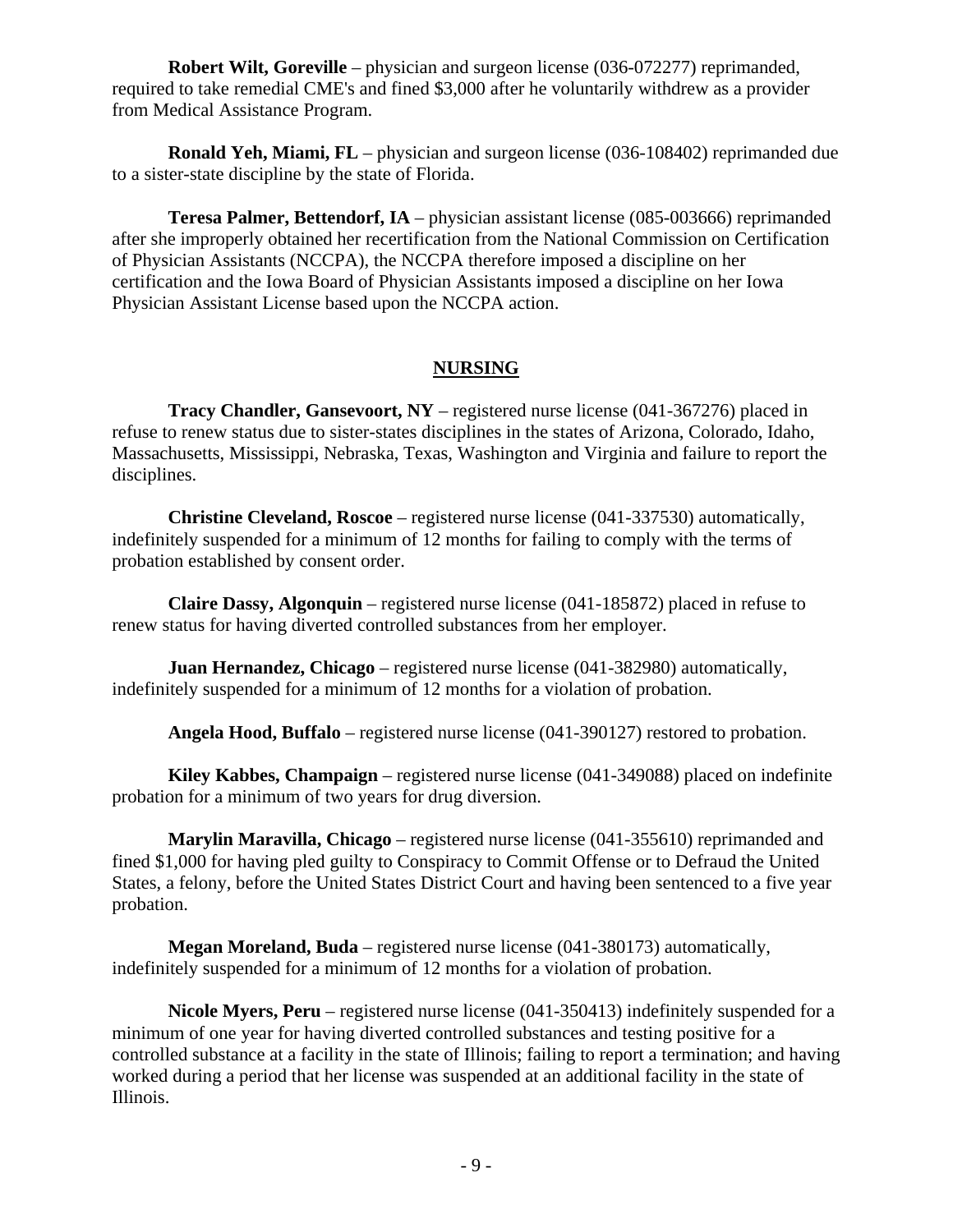**Robert Wilt, Goreville** – physician and surgeon license (036-072277) reprimanded, required to take remedial CME's and fined \$3,000 after he voluntarily withdrew as a provider from Medical Assistance Program.

**Ronald Yeh, Miami, FL** – physician and surgeon license (036-108402) reprimanded due to a sister-state discipline by the state of Florida.

**Teresa Palmer, Bettendorf, IA** – physician assistant license (085-003666) reprimanded after she improperly obtained her recertification from the National Commission on Certification of Physician Assistants (NCCPA), the NCCPA therefore imposed a discipline on her certification and the Iowa Board of Physician Assistants imposed a discipline on her Iowa Physician Assistant License based upon the NCCPA action.

#### **NURSING**

**Tracy Chandler, Gansevoort, NY** – registered nurse license (041-367276) placed in refuse to renew status due to sister-states disciplines in the states of Arizona, Colorado, Idaho, Massachusetts, Mississippi, Nebraska, Texas, Washington and Virginia and failure to report the disciplines.

**Christine Cleveland, Roscoe** – registered nurse license (041-337530) automatically, indefinitely suspended for a minimum of 12 months for failing to comply with the terms of probation established by consent order.

**Claire Dassy, Algonquin** – registered nurse license (041-185872) placed in refuse to renew status for having diverted controlled substances from her employer.

**Juan Hernandez, Chicago** – registered nurse license (041-382980) automatically, indefinitely suspended for a minimum of 12 months for a violation of probation.

**Angela Hood, Buffalo** – registered nurse license (041-390127) restored to probation.

**Kiley Kabbes, Champaign** – registered nurse license (041-349088) placed on indefinite probation for a minimum of two years for drug diversion.

**Marylin Maravilla, Chicago** – registered nurse license (041-355610) reprimanded and fined \$1,000 for having pled guilty to Conspiracy to Commit Offense or to Defraud the United States, a felony, before the United States District Court and having been sentenced to a five year probation.

**Megan Moreland, Buda** – registered nurse license (041-380173) automatically, indefinitely suspended for a minimum of 12 months for a violation of probation.

**Nicole Myers, Peru** – registered nurse license (041-350413) indefinitely suspended for a minimum of one year for having diverted controlled substances and testing positive for a controlled substance at a facility in the state of Illinois; failing to report a termination; and having worked during a period that her license was suspended at an additional facility in the state of Illinois.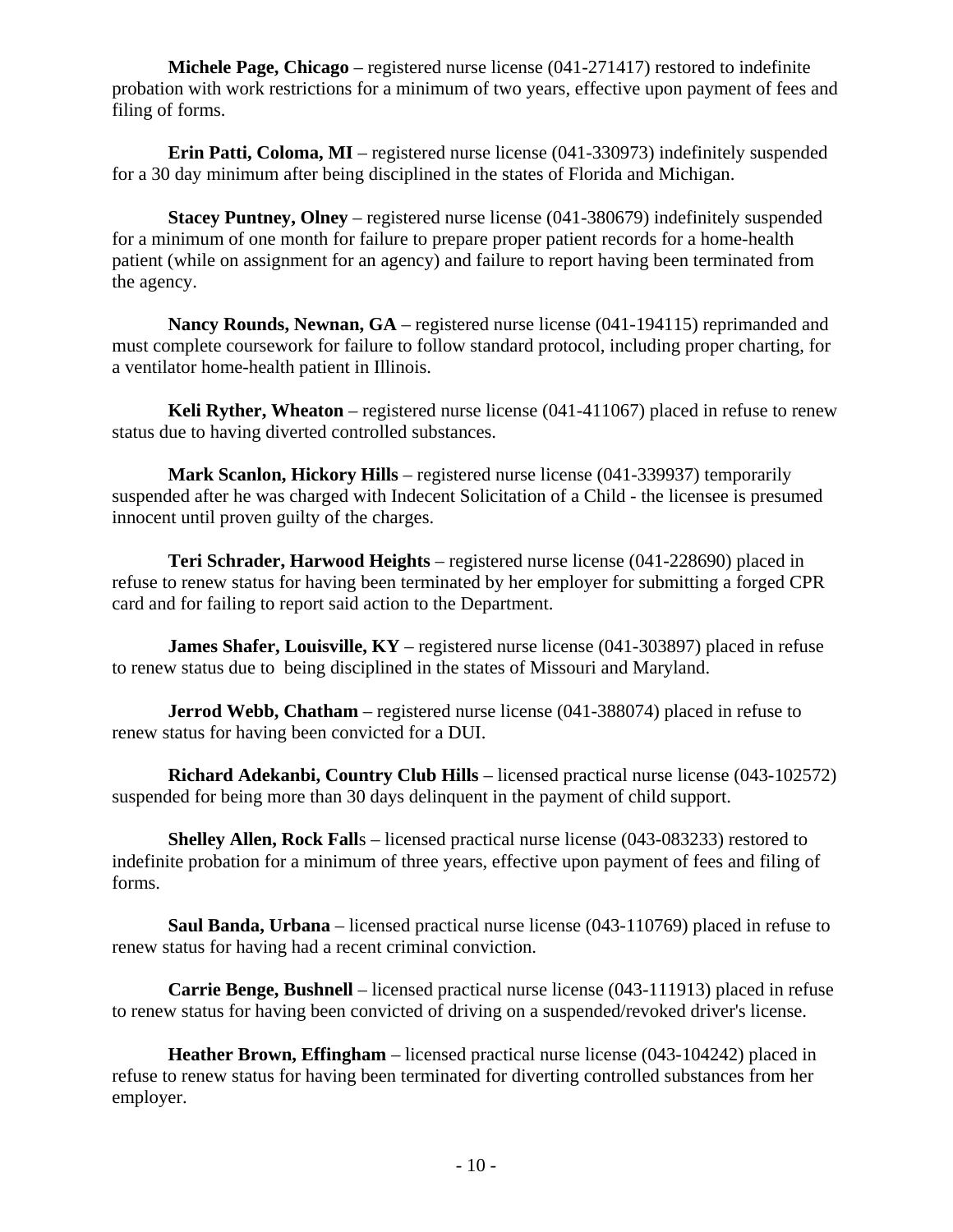**Michele Page, Chicago** – registered nurse license (041-271417) restored to indefinite probation with work restrictions for a minimum of two years, effective upon payment of fees and filing of forms.

**Erin Patti, Coloma, MI** – registered nurse license (041-330973) indefinitely suspended for a 30 day minimum after being disciplined in the states of Florida and Michigan.

**Stacey Puntney, Olney** – registered nurse license (041-380679) indefinitely suspended for a minimum of one month for failure to prepare proper patient records for a home-health patient (while on assignment for an agency) and failure to report having been terminated from the agency.

**Nancy Rounds, Newnan, GA** – registered nurse license (041-194115) reprimanded and must complete coursework for failure to follow standard protocol, including proper charting, for a ventilator home-health patient in Illinois.

**Keli Ryther, Wheaton** – registered nurse license (041-411067) placed in refuse to renew status due to having diverted controlled substances.

**Mark Scanlon, Hickory Hills** – registered nurse license (041-339937) temporarily suspended after he was charged with Indecent Solicitation of a Child - the licensee is presumed innocent until proven guilty of the charges.

**Teri Schrader, Harwood Heights** – registered nurse license (041-228690) placed in refuse to renew status for having been terminated by her employer for submitting a forged CPR card and for failing to report said action to the Department.

**James Shafer, Louisville, KY** – registered nurse license (041-303897) placed in refuse to renew status due to being disciplined in the states of Missouri and Maryland.

**Jerrod Webb, Chatham** – registered nurse license (041-388074) placed in refuse to renew status for having been convicted for a DUI.

**Richard Adekanbi, Country Club Hills** – licensed practical nurse license (043-102572) suspended for being more than 30 days delinquent in the payment of child support.

**Shelley Allen, Rock Falls** – licensed practical nurse license (043-083233) restored to indefinite probation for a minimum of three years, effective upon payment of fees and filing of forms.

**Saul Banda, Urbana** – licensed practical nurse license (043-110769) placed in refuse to renew status for having had a recent criminal conviction.

**Carrie Benge, Bushnell** – licensed practical nurse license (043-111913) placed in refuse to renew status for having been convicted of driving on a suspended/revoked driver's license.

**Heather Brown, Effingham** – licensed practical nurse license (043-104242) placed in refuse to renew status for having been terminated for diverting controlled substances from her employer.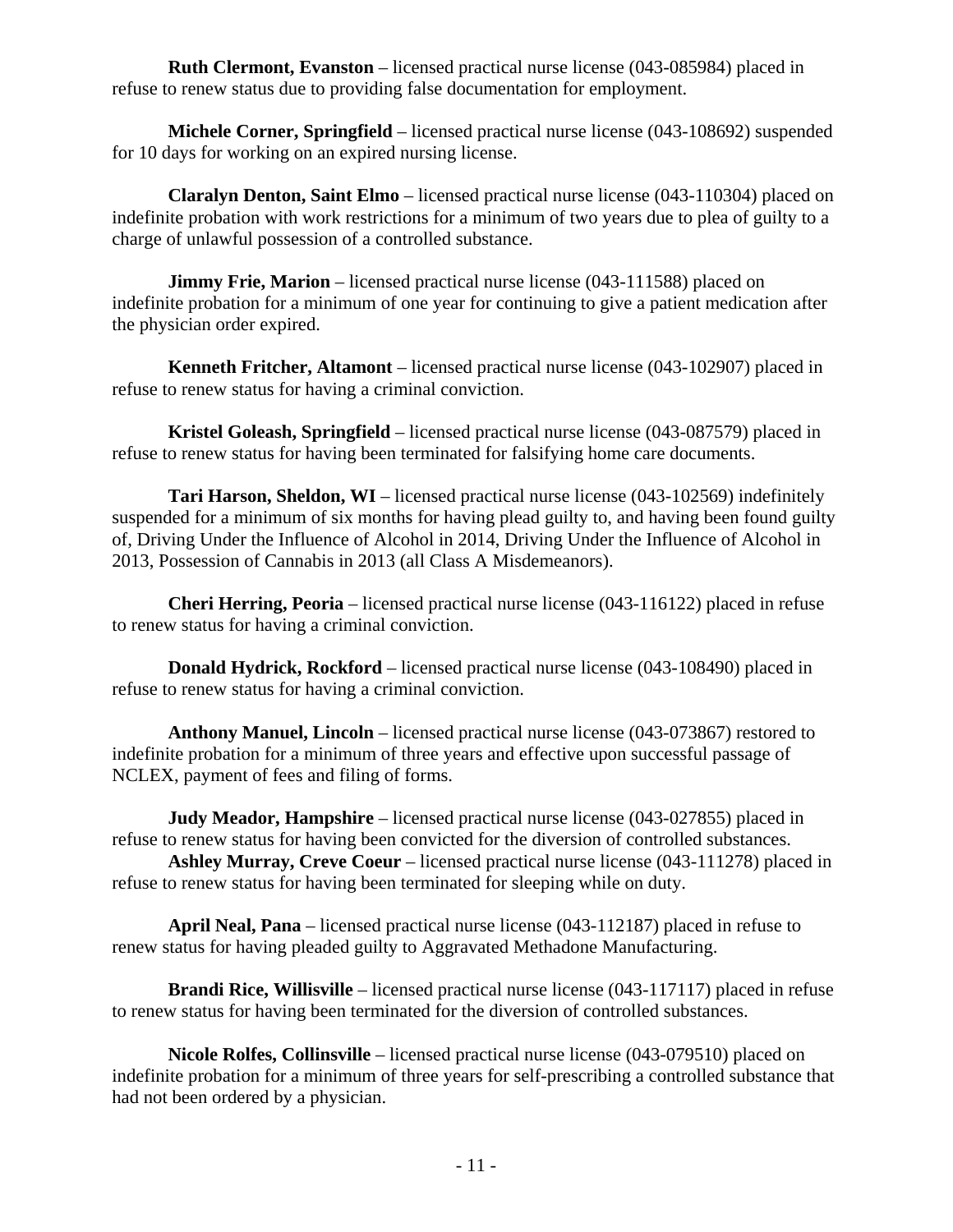**Ruth Clermont, Evanston** – licensed practical nurse license (043-085984) placed in refuse to renew status due to providing false documentation for employment.

**Michele Corner, Springfield** – licensed practical nurse license (043-108692) suspended for 10 days for working on an expired nursing license.

**Claralyn Denton, Saint Elmo** – licensed practical nurse license (043-110304) placed on indefinite probation with work restrictions for a minimum of two years due to plea of guilty to a charge of unlawful possession of a controlled substance.

**Jimmy Frie, Marion** – licensed practical nurse license (043-111588) placed on indefinite probation for a minimum of one year for continuing to give a patient medication after the physician order expired.

**Kenneth Fritcher, Altamont** – licensed practical nurse license (043-102907) placed in refuse to renew status for having a criminal conviction.

**Kristel Goleash, Springfield** – licensed practical nurse license (043-087579) placed in refuse to renew status for having been terminated for falsifying home care documents.

**Tari Harson, Sheldon, WI** – licensed practical nurse license (043-102569) indefinitely suspended for a minimum of six months for having plead guilty to, and having been found guilty of, Driving Under the Influence of Alcohol in 2014, Driving Under the Influence of Alcohol in 2013, Possession of Cannabis in 2013 (all Class A Misdemeanors).

**Cheri Herring, Peoria** – licensed practical nurse license (043-116122) placed in refuse to renew status for having a criminal conviction.

**Donald Hydrick, Rockford** – licensed practical nurse license (043-108490) placed in refuse to renew status for having a criminal conviction.

**Anthony Manuel, Lincoln** – licensed practical nurse license (043-073867) restored to indefinite probation for a minimum of three years and effective upon successful passage of NCLEX, payment of fees and filing of forms.

**Judy Meador, Hampshire** – licensed practical nurse license (043-027855) placed in refuse to renew status for having been convicted for the diversion of controlled substances. **Ashley Murray, Creve Coeur** – licensed practical nurse license (043-111278) placed in

refuse to renew status for having been terminated for sleeping while on duty.

**April Neal, Pana** – licensed practical nurse license (043-112187) placed in refuse to renew status for having pleaded guilty to Aggravated Methadone Manufacturing.

**Brandi Rice, Willisville** – licensed practical nurse license (043-117117) placed in refuse to renew status for having been terminated for the diversion of controlled substances.

**Nicole Rolfes, Collinsville** – licensed practical nurse license (043-079510) placed on indefinite probation for a minimum of three years for self-prescribing a controlled substance that had not been ordered by a physician.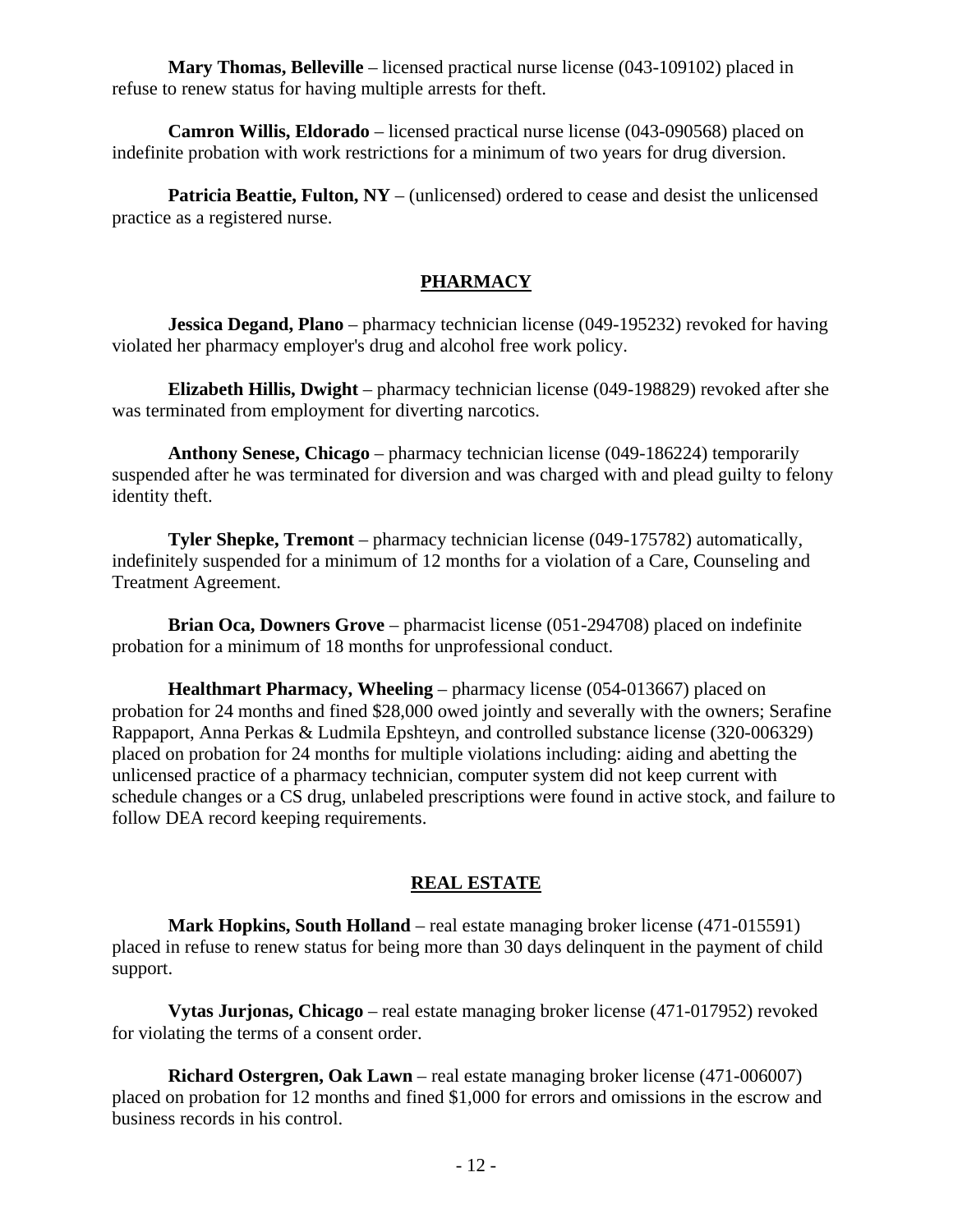**Mary Thomas, Belleville** – licensed practical nurse license (043-109102) placed in refuse to renew status for having multiple arrests for theft.

**Camron Willis, Eldorado** – licensed practical nurse license (043-090568) placed on indefinite probation with work restrictions for a minimum of two years for drug diversion.

**Patricia Beattie, Fulton, NY** – (unlicensed) ordered to cease and desist the unlicensed practice as a registered nurse.

### **PHARMACY**

**Jessica Degand, Plano** – pharmacy technician license (049-195232) revoked for having violated her pharmacy employer's drug and alcohol free work policy.

**Elizabeth Hillis, Dwight** – pharmacy technician license (049-198829) revoked after she was terminated from employment for diverting narcotics.

**Anthony Senese, Chicago** – pharmacy technician license (049-186224) temporarily suspended after he was terminated for diversion and was charged with and plead guilty to felony identity theft.

**Tyler Shepke, Tremont** – pharmacy technician license (049-175782) automatically, indefinitely suspended for a minimum of 12 months for a violation of a Care, Counseling and Treatment Agreement.

**Brian Oca, Downers Grove** – pharmacist license (051-294708) placed on indefinite probation for a minimum of 18 months for unprofessional conduct.

**Healthmart Pharmacy, Wheeling** – pharmacy license (054-013667) placed on probation for 24 months and fined \$28,000 owed jointly and severally with the owners; Serafine Rappaport, Anna Perkas & Ludmila Epshteyn, and controlled substance license (320-006329) placed on probation for 24 months for multiple violations including: aiding and abetting the unlicensed practice of a pharmacy technician, computer system did not keep current with schedule changes or a CS drug, unlabeled prescriptions were found in active stock, and failure to follow DEA record keeping requirements.

#### **REAL ESTATE**

**Mark Hopkins, South Holland** – real estate managing broker license (471-015591) placed in refuse to renew status for being more than 30 days delinquent in the payment of child support.

**Vytas Jurjonas, Chicago** – real estate managing broker license (471-017952) revoked for violating the terms of a consent order.

**Richard Ostergren, Oak Lawn** – real estate managing broker license (471-006007) placed on probation for 12 months and fined \$1,000 for errors and omissions in the escrow and business records in his control.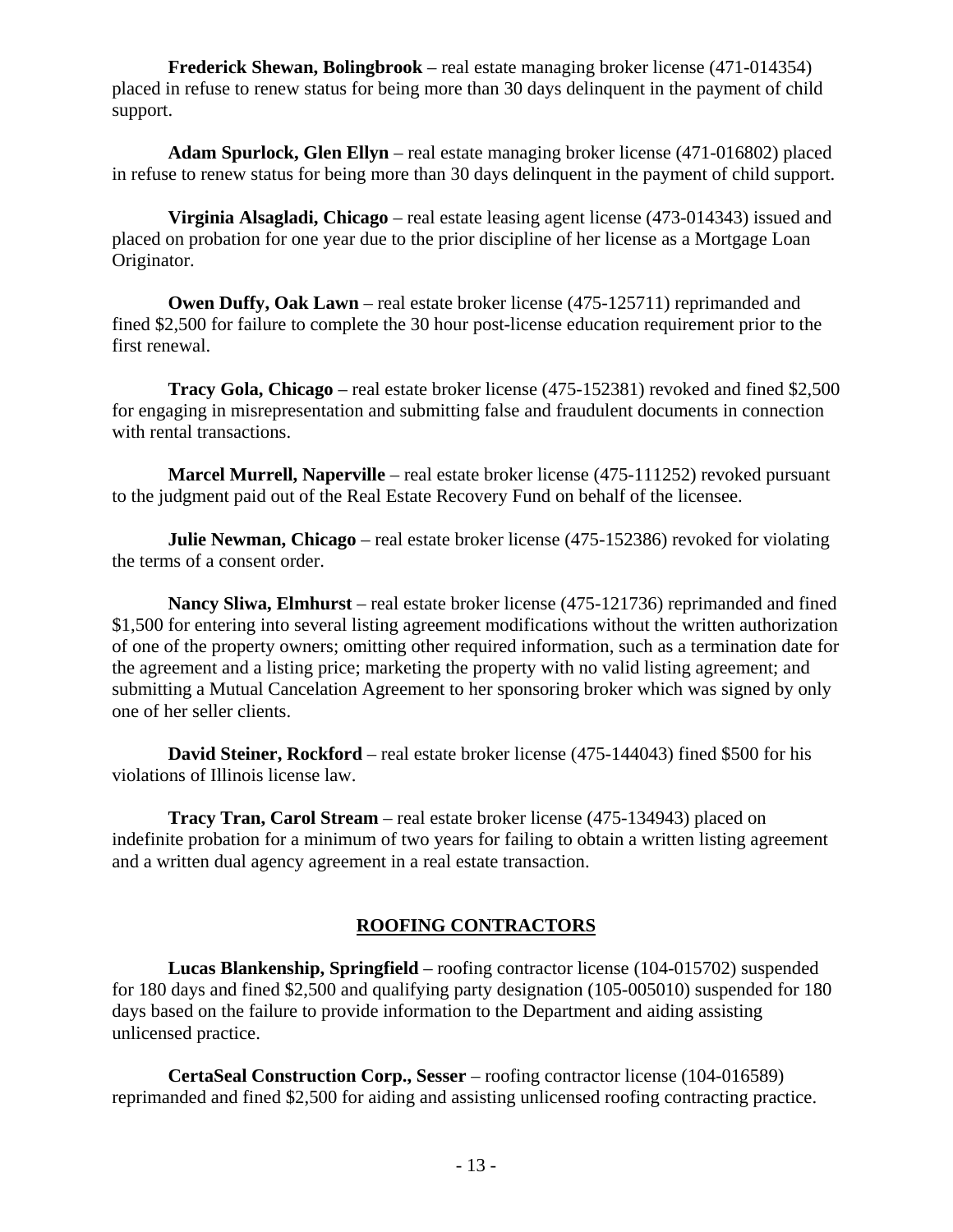**Frederick Shewan, Bolingbrook** – real estate managing broker license (471-014354) placed in refuse to renew status for being more than 30 days delinquent in the payment of child support.

**Adam Spurlock, Glen Ellyn** – real estate managing broker license (471-016802) placed in refuse to renew status for being more than 30 days delinquent in the payment of child support.

**Virginia Alsagladi, Chicago** – real estate leasing agent license (473-014343) issued and placed on probation for one year due to the prior discipline of her license as a Mortgage Loan Originator.

**Owen Duffy, Oak Lawn** – real estate broker license (475-125711) reprimanded and fined \$2,500 for failure to complete the 30 hour post-license education requirement prior to the first renewal.

**Tracy Gola, Chicago** – real estate broker license (475-152381) revoked and fined \$2,500 for engaging in misrepresentation and submitting false and fraudulent documents in connection with rental transactions.

**Marcel Murrell, Naperville** – real estate broker license (475-111252) revoked pursuant to the judgment paid out of the Real Estate Recovery Fund on behalf of the licensee.

**Julie Newman, Chicago** – real estate broker license (475-152386) revoked for violating the terms of a consent order.

**Nancy Sliwa, Elmhurst** – real estate broker license (475-121736) reprimanded and fined \$1,500 for entering into several listing agreement modifications without the written authorization of one of the property owners; omitting other required information, such as a termination date for the agreement and a listing price; marketing the property with no valid listing agreement; and submitting a Mutual Cancelation Agreement to her sponsoring broker which was signed by only one of her seller clients.

**David Steiner, Rockford** – real estate broker license (475-144043) fined \$500 for his violations of Illinois license law.

**Tracy Tran, Carol Stream** – real estate broker license (475-134943) placed on indefinite probation for a minimum of two years for failing to obtain a written listing agreement and a written dual agency agreement in a real estate transaction.

#### **ROOFING CONTRACTORS**

**Lucas Blankenship, Springfield** – roofing contractor license (104-015702) suspended for 180 days and fined \$2,500 and qualifying party designation (105-005010) suspended for 180 days based on the failure to provide information to the Department and aiding assisting unlicensed practice.

**CertaSeal Construction Corp., Sesser** – roofing contractor license (104-016589) reprimanded and fined \$2,500 for aiding and assisting unlicensed roofing contracting practice.